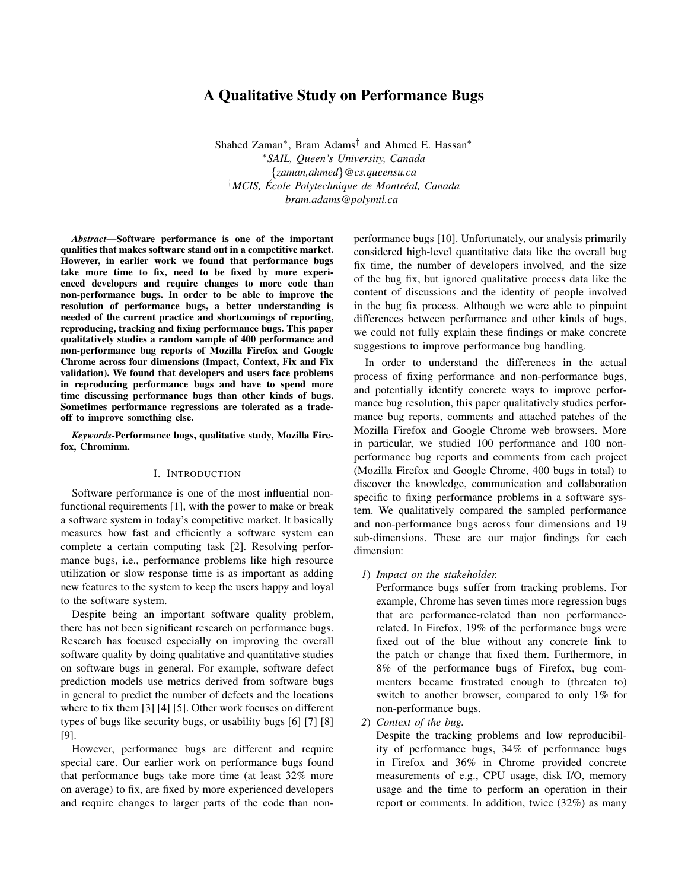# A Qualitative Study on Performance Bugs

Shahed Zaman<sup>∗</sup> , Bram Adams† and Ahmed E. Hassan<sup>∗</sup> <sup>∗</sup>*SAIL, Queen's University, Canada* {*zaman,ahmed*}*@cs.queensu.ca* <sup>†</sup>MCIS, École Polytechnique de Montréal, Canada *bram.adams@polymtl.ca*

*Abstract*—Software performance is one of the important qualities that makes software stand out in a competitive market. However, in earlier work we found that performance bugs take more time to fix, need to be fixed by more experienced developers and require changes to more code than non-performance bugs. In order to be able to improve the resolution of performance bugs, a better understanding is needed of the current practice and shortcomings of reporting, reproducing, tracking and fixing performance bugs. This paper qualitatively studies a random sample of 400 performance and non-performance bug reports of Mozilla Firefox and Google Chrome across four dimensions (Impact, Context, Fix and Fix validation). We found that developers and users face problems in reproducing performance bugs and have to spend more time discussing performance bugs than other kinds of bugs. Sometimes performance regressions are tolerated as a tradeoff to improve something else.

*Keywords*-Performance bugs, qualitative study, Mozilla Firefox, Chromium.

#### I. INTRODUCTION

Software performance is one of the most influential nonfunctional requirements [1], with the power to make or break a software system in today's competitive market. It basically measures how fast and efficiently a software system can complete a certain computing task [2]. Resolving performance bugs, i.e., performance problems like high resource utilization or slow response time is as important as adding new features to the system to keep the users happy and loyal to the software system.

Despite being an important software quality problem, there has not been significant research on performance bugs. Research has focused especially on improving the overall software quality by doing qualitative and quantitative studies on software bugs in general. For example, software defect prediction models use metrics derived from software bugs in general to predict the number of defects and the locations where to fix them [3] [4] [5]. Other work focuses on different types of bugs like security bugs, or usability bugs [6] [7] [8] [9].

However, performance bugs are different and require special care. Our earlier work on performance bugs found that performance bugs take more time (at least 32% more on average) to fix, are fixed by more experienced developers and require changes to larger parts of the code than nonperformance bugs [10]. Unfortunately, our analysis primarily considered high-level quantitative data like the overall bug fix time, the number of developers involved, and the size of the bug fix, but ignored qualitative process data like the content of discussions and the identity of people involved in the bug fix process. Although we were able to pinpoint differences between performance and other kinds of bugs, we could not fully explain these findings or make concrete suggestions to improve performance bug handling.

In order to understand the differences in the actual process of fixing performance and non-performance bugs, and potentially identify concrete ways to improve performance bug resolution, this paper qualitatively studies performance bug reports, comments and attached patches of the Mozilla Firefox and Google Chrome web browsers. More in particular, we studied 100 performance and 100 nonperformance bug reports and comments from each project (Mozilla Firefox and Google Chrome, 400 bugs in total) to discover the knowledge, communication and collaboration specific to fixing performance problems in a software system. We qualitatively compared the sampled performance and non-performance bugs across four dimensions and 19 sub-dimensions. These are our major findings for each dimension:

*1*) *Impact on the stakeholder.*

Performance bugs suffer from tracking problems. For example, Chrome has seven times more regression bugs that are performance-related than non performancerelated. In Firefox, 19% of the performance bugs were fixed out of the blue without any concrete link to the patch or change that fixed them. Furthermore, in 8% of the performance bugs of Firefox, bug commenters became frustrated enough to (threaten to) switch to another browser, compared to only 1% for non-performance bugs.

*2*) *Context of the bug.*

Despite the tracking problems and low reproducibility of performance bugs, 34% of performance bugs in Firefox and 36% in Chrome provided concrete measurements of e.g., CPU usage, disk I/O, memory usage and the time to perform an operation in their report or comments. In addition, twice (32%) as many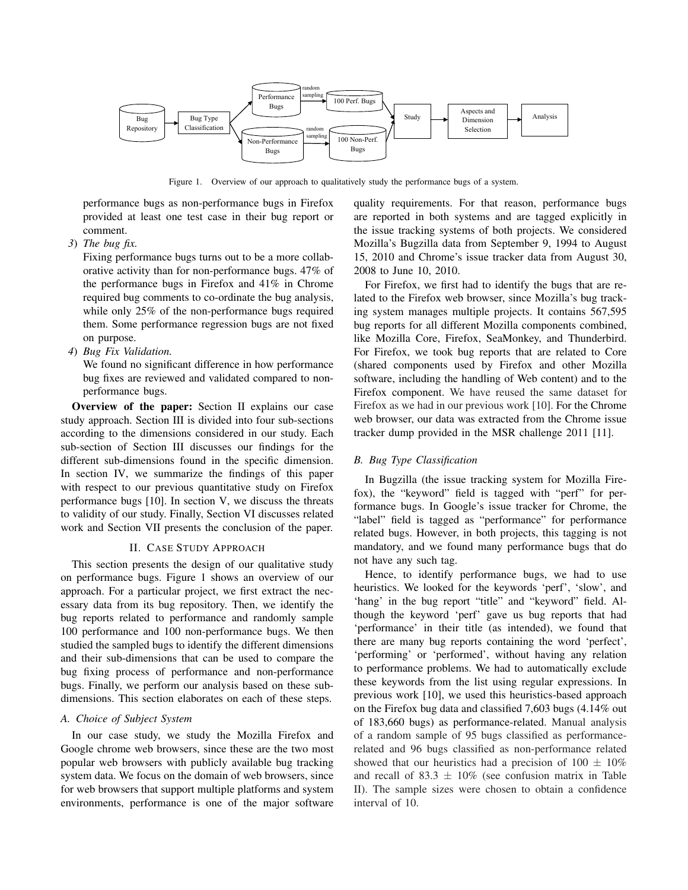

Figure 1. Overview of our approach to qualitatively study the performance bugs of a system.

performance bugs as non-performance bugs in Firefox provided at least one test case in their bug report or comment.

*3*) *The bug fix.*

Fixing performance bugs turns out to be a more collaborative activity than for non-performance bugs. 47% of the performance bugs in Firefox and 41% in Chrome required bug comments to co-ordinate the bug analysis, while only 25% of the non-performance bugs required them. Some performance regression bugs are not fixed on purpose.

*4*) *Bug Fix Validation.*

We found no significant difference in how performance bug fixes are reviewed and validated compared to nonperformance bugs.

Overview of the paper: Section II explains our case study approach. Section III is divided into four sub-sections according to the dimensions considered in our study. Each sub-section of Section III discusses our findings for the different sub-dimensions found in the specific dimension. In section IV, we summarize the findings of this paper with respect to our previous quantitative study on Firefox performance bugs [10]. In section V, we discuss the threats to validity of our study. Finally, Section VI discusses related work and Section VII presents the conclusion of the paper.

#### II. CASE STUDY APPROACH

This section presents the design of our qualitative study on performance bugs. Figure 1 shows an overview of our approach. For a particular project, we first extract the necessary data from its bug repository. Then, we identify the bug reports related to performance and randomly sample 100 performance and 100 non-performance bugs. We then studied the sampled bugs to identify the different dimensions and their sub-dimensions that can be used to compare the bug fixing process of performance and non-performance bugs. Finally, we perform our analysis based on these subdimensions. This section elaborates on each of these steps.

### *A. Choice of Subject System*

In our case study, we study the Mozilla Firefox and Google chrome web browsers, since these are the two most popular web browsers with publicly available bug tracking system data. We focus on the domain of web browsers, since for web browsers that support multiple platforms and system environments, performance is one of the major software quality requirements. For that reason, performance bugs are reported in both systems and are tagged explicitly in the issue tracking systems of both projects. We considered Mozilla's Bugzilla data from September 9, 1994 to August 15, 2010 and Chrome's issue tracker data from August 30, 2008 to June 10, 2010.

For Firefox, we first had to identify the bugs that are related to the Firefox web browser, since Mozilla's bug tracking system manages multiple projects. It contains 567,595 bug reports for all different Mozilla components combined, like Mozilla Core, Firefox, SeaMonkey, and Thunderbird. For Firefox, we took bug reports that are related to Core (shared components used by Firefox and other Mozilla software, including the handling of Web content) and to the Firefox component. We have reused the same dataset for Firefox as we had in our previous work [10]. For the Chrome web browser, our data was extracted from the Chrome issue tracker dump provided in the MSR challenge 2011 [11].

#### *B. Bug Type Classification*

In Bugzilla (the issue tracking system for Mozilla Firefox), the "keyword" field is tagged with "perf" for performance bugs. In Google's issue tracker for Chrome, the "label" field is tagged as "performance" for performance related bugs. However, in both projects, this tagging is not mandatory, and we found many performance bugs that do not have any such tag.

Hence, to identify performance bugs, we had to use heuristics. We looked for the keywords 'perf', 'slow', and 'hang' in the bug report "title" and "keyword" field. Although the keyword 'perf' gave us bug reports that had 'performance' in their title (as intended), we found that there are many bug reports containing the word 'perfect', 'performing' or 'performed', without having any relation to performance problems. We had to automatically exclude these keywords from the list using regular expressions. In previous work [10], we used this heuristics-based approach on the Firefox bug data and classified 7,603 bugs (4.14% out of 183,660 bugs) as performance-related. Manual analysis of a random sample of 95 bugs classified as performancerelated and 96 bugs classified as non-performance related showed that our heuristics had a precision of  $100 \pm 10\%$ and recall of 83.3  $\pm$  10% (see confusion matrix in Table II). The sample sizes were chosen to obtain a confidence interval of 10.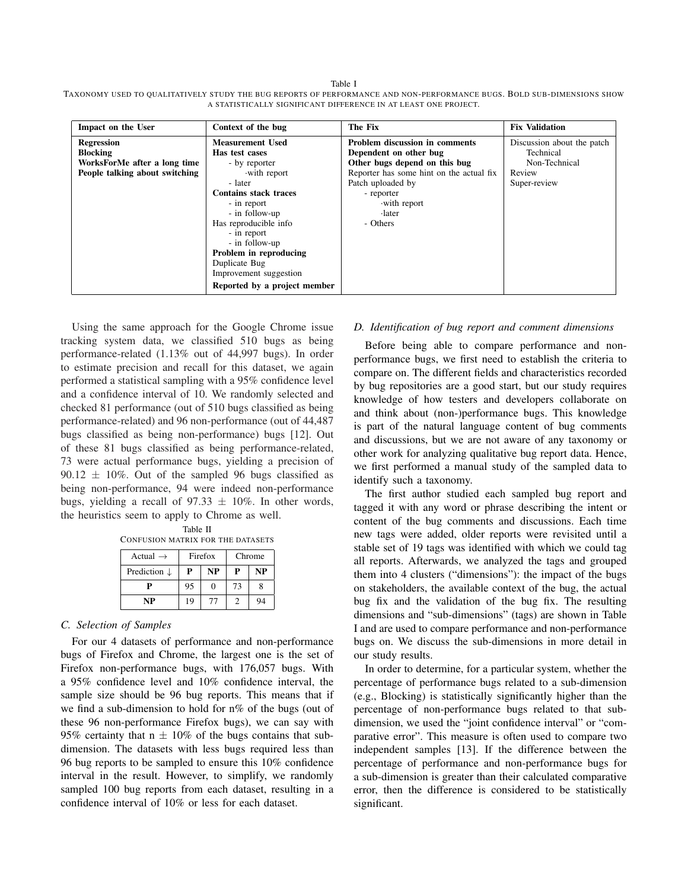Table I TAXONOMY USED TO QUALITATIVELY STUDY THE BUG REPORTS OF PERFORMANCE AND NON-PERFORMANCE BUGS. BOLD SUB-DIMENSIONS SHOW A STATISTICALLY SIGNIFICANT DIFFERENCE IN AT LEAST ONE PROJECT.

| Impact on the User             | Context of the bug           | The Fix                                  | <b>Fix Validation</b>      |
|--------------------------------|------------------------------|------------------------------------------|----------------------------|
| <b>Regression</b>              | <b>Measurement Used</b>      | <b>Problem discussion in comments</b>    | Discussion about the patch |
| <b>Blocking</b>                | Has test cases               | Dependent on other bug                   | Technical                  |
| WorksForMe after a long time   | - by reporter                | Other bugs depend on this bug            | Non-Technical              |
| People talking about switching | with report                  | Reporter has some hint on the actual fix | Review                     |
|                                | - later                      | Patch uploaded by                        | Super-review               |
|                                | <b>Contains stack traces</b> | - reporter                               |                            |
|                                | - in report                  | with report                              |                            |
|                                | - in follow-up               | $\cdot$ later                            |                            |
|                                | Has reproducible info        | - Others                                 |                            |
|                                | - in report                  |                                          |                            |
|                                | - in follow-up               |                                          |                            |
|                                | Problem in reproducing       |                                          |                            |
|                                | Duplicate Bug                |                                          |                            |
|                                | Improvement suggestion       |                                          |                            |
|                                | Reported by a project member |                                          |                            |

Using the same approach for the Google Chrome issue tracking system data, we classified 510 bugs as being performance-related (1.13% out of 44,997 bugs). In order to estimate precision and recall for this dataset, we again performed a statistical sampling with a 95% confidence level and a confidence interval of 10. We randomly selected and checked 81 performance (out of 510 bugs classified as being performance-related) and 96 non-performance (out of 44,487 bugs classified as being non-performance) bugs [12]. Out of these 81 bugs classified as being performance-related, 73 were actual performance bugs, yielding a precision of  $90.12 \pm 10\%$ . Out of the sampled 96 bugs classified as being non-performance, 94 were indeed non-performance bugs, yielding a recall of 97.33  $\pm$  10%. In other words, the heuristics seem to apply to Chrome as well.

Table II CONFUSION MATRIX FOR THE DATASETS

| Actual $\rightarrow$    | Firefox |           | Chrome |    |
|-------------------------|---------|-----------|--------|----|
| Prediction $\downarrow$ | P       | <b>NP</b> | P      | NP |
| р                       | 95      | $\theta$  | 73     | 8  |
| NP                      | 19      | 77        | 2      | 94 |

## *C. Selection of Samples*

For our 4 datasets of performance and non-performance bugs of Firefox and Chrome, the largest one is the set of Firefox non-performance bugs, with 176,057 bugs. With a 95% confidence level and 10% confidence interval, the sample size should be 96 bug reports. This means that if we find a sub-dimension to hold for n% of the bugs (out of these 96 non-performance Firefox bugs), we can say with 95% certainty that  $n \pm 10\%$  of the bugs contains that subdimension. The datasets with less bugs required less than 96 bug reports to be sampled to ensure this 10% confidence interval in the result. However, to simplify, we randomly sampled 100 bug reports from each dataset, resulting in a confidence interval of 10% or less for each dataset.

#### *D. Identification of bug report and comment dimensions*

Before being able to compare performance and nonperformance bugs, we first need to establish the criteria to compare on. The different fields and characteristics recorded by bug repositories are a good start, but our study requires knowledge of how testers and developers collaborate on and think about (non-)performance bugs. This knowledge is part of the natural language content of bug comments and discussions, but we are not aware of any taxonomy or other work for analyzing qualitative bug report data. Hence, we first performed a manual study of the sampled data to identify such a taxonomy.

The first author studied each sampled bug report and tagged it with any word or phrase describing the intent or content of the bug comments and discussions. Each time new tags were added, older reports were revisited until a stable set of 19 tags was identified with which we could tag all reports. Afterwards, we analyzed the tags and grouped them into 4 clusters ("dimensions"): the impact of the bugs on stakeholders, the available context of the bug, the actual bug fix and the validation of the bug fix. The resulting dimensions and "sub-dimensions" (tags) are shown in Table I and are used to compare performance and non-performance bugs on. We discuss the sub-dimensions in more detail in our study results.

In order to determine, for a particular system, whether the percentage of performance bugs related to a sub-dimension (e.g., Blocking) is statistically significantly higher than the percentage of non-performance bugs related to that subdimension, we used the "joint confidence interval" or "comparative error". This measure is often used to compare two independent samples [13]. If the difference between the percentage of performance and non-performance bugs for a sub-dimension is greater than their calculated comparative error, then the difference is considered to be statistically significant.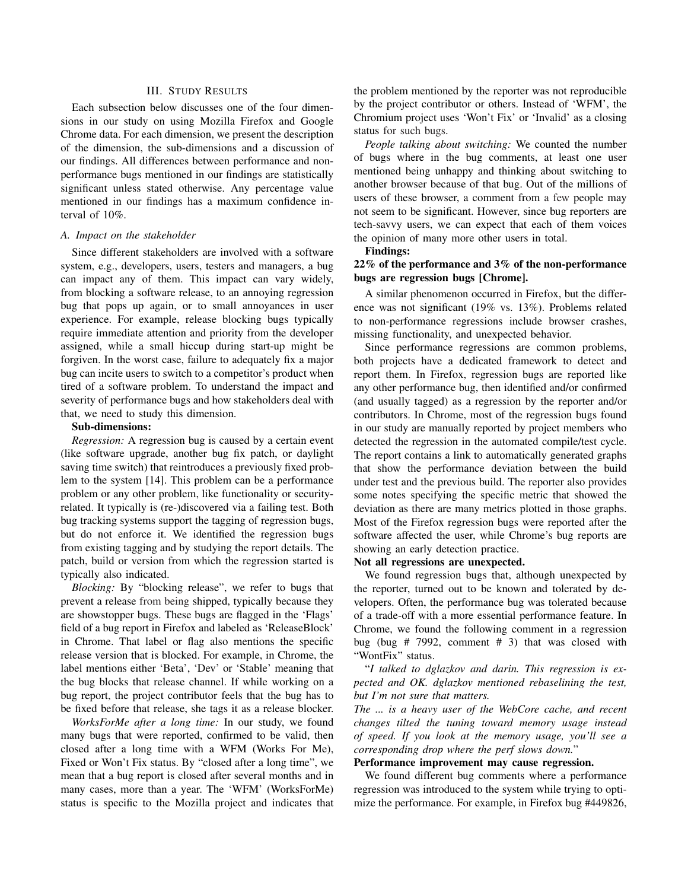### III. STUDY RESULTS

Each subsection below discusses one of the four dimensions in our study on using Mozilla Firefox and Google Chrome data. For each dimension, we present the description of the dimension, the sub-dimensions and a discussion of our findings. All differences between performance and nonperformance bugs mentioned in our findings are statistically significant unless stated otherwise. Any percentage value mentioned in our findings has a maximum confidence interval of 10%.

#### *A. Impact on the stakeholder*

Since different stakeholders are involved with a software system, e.g., developers, users, testers and managers, a bug can impact any of them. This impact can vary widely, from blocking a software release, to an annoying regression bug that pops up again, or to small annoyances in user experience. For example, release blocking bugs typically require immediate attention and priority from the developer assigned, while a small hiccup during start-up might be forgiven. In the worst case, failure to adequately fix a major bug can incite users to switch to a competitor's product when tired of a software problem. To understand the impact and severity of performance bugs and how stakeholders deal with that, we need to study this dimension.

#### Sub-dimensions:

*Regression:* A regression bug is caused by a certain event (like software upgrade, another bug fix patch, or daylight saving time switch) that reintroduces a previously fixed problem to the system [14]. This problem can be a performance problem or any other problem, like functionality or securityrelated. It typically is (re-)discovered via a failing test. Both bug tracking systems support the tagging of regression bugs, but do not enforce it. We identified the regression bugs from existing tagging and by studying the report details. The patch, build or version from which the regression started is typically also indicated.

*Blocking:* By "blocking release", we refer to bugs that prevent a release from being shipped, typically because they are showstopper bugs. These bugs are flagged in the 'Flags' field of a bug report in Firefox and labeled as 'ReleaseBlock' in Chrome. That label or flag also mentions the specific release version that is blocked. For example, in Chrome, the label mentions either 'Beta', 'Dev' or 'Stable' meaning that the bug blocks that release channel. If while working on a bug report, the project contributor feels that the bug has to be fixed before that release, she tags it as a release blocker.

*WorksForMe after a long time:* In our study, we found many bugs that were reported, confirmed to be valid, then closed after a long time with a WFM (Works For Me), Fixed or Won't Fix status. By "closed after a long time", we mean that a bug report is closed after several months and in many cases, more than a year. The 'WFM' (WorksForMe) status is specific to the Mozilla project and indicates that the problem mentioned by the reporter was not reproducible by the project contributor or others. Instead of 'WFM', the Chromium project uses 'Won't Fix' or 'Invalid' as a closing status for such bugs.

*People talking about switching:* We counted the number of bugs where in the bug comments, at least one user mentioned being unhappy and thinking about switching to another browser because of that bug. Out of the millions of users of these browser, a comment from a few people may not seem to be significant. However, since bug reporters are tech-savvy users, we can expect that each of them voices the opinion of many more other users in total.

Findings:

## 22% of the performance and 3% of the non-performance bugs are regression bugs [Chrome].

A similar phenomenon occurred in Firefox, but the difference was not significant (19% vs. 13%). Problems related to non-performance regressions include browser crashes, missing functionality, and unexpected behavior.

Since performance regressions are common problems, both projects have a dedicated framework to detect and report them. In Firefox, regression bugs are reported like any other performance bug, then identified and/or confirmed (and usually tagged) as a regression by the reporter and/or contributors. In Chrome, most of the regression bugs found in our study are manually reported by project members who detected the regression in the automated compile/test cycle. The report contains a link to automatically generated graphs that show the performance deviation between the build under test and the previous build. The reporter also provides some notes specifying the specific metric that showed the deviation as there are many metrics plotted in those graphs. Most of the Firefox regression bugs were reported after the software affected the user, while Chrome's bug reports are showing an early detection practice.

### Not all regressions are unexpected.

We found regression bugs that, although unexpected by the reporter, turned out to be known and tolerated by developers. Often, the performance bug was tolerated because of a trade-off with a more essential performance feature. In Chrome, we found the following comment in a regression bug (bug # 7992, comment # 3) that was closed with "WontFix" status.

"*I talked to dglazkov and darin. This regression is expected and OK. dglazkov mentioned rebaselining the test, but I'm not sure that matters.*

*The ... is a heavy user of the WebCore cache, and recent changes tilted the tuning toward memory usage instead of speed. If you look at the memory usage, you'll see a corresponding drop where the perf slows down.*"

### Performance improvement may cause regression.

We found different bug comments where a performance regression was introduced to the system while trying to optimize the performance. For example, in Firefox bug #449826,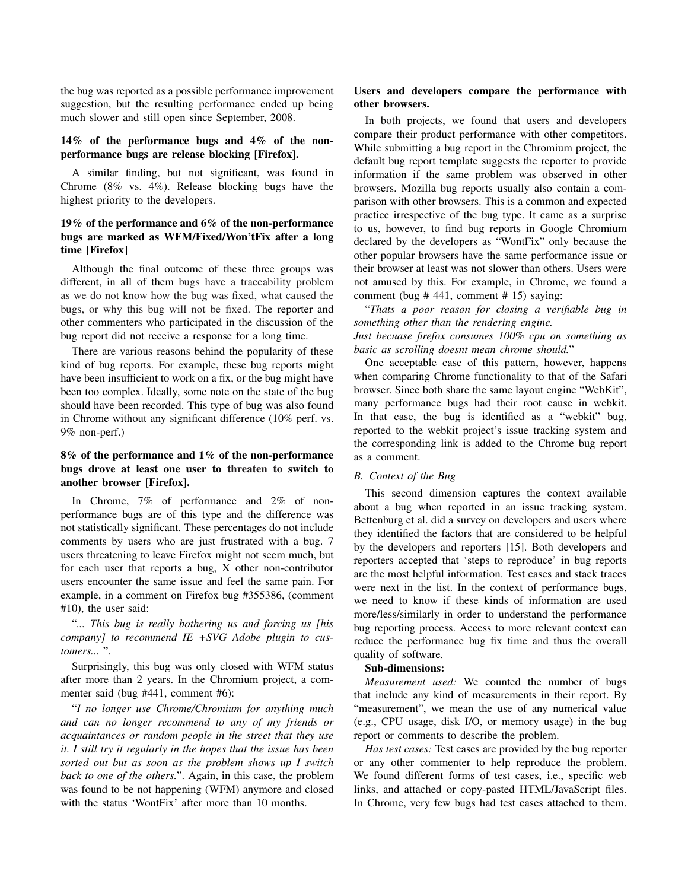the bug was reported as a possible performance improvement suggestion, but the resulting performance ended up being much slower and still open since September, 2008.

### 14% of the performance bugs and 4% of the nonperformance bugs are release blocking [Firefox].

A similar finding, but not significant, was found in Chrome (8% vs. 4%). Release blocking bugs have the highest priority to the developers.

## 19% of the performance and 6% of the non-performance bugs are marked as WFM/Fixed/Won'tFix after a long time [Firefox]

Although the final outcome of these three groups was different, in all of them bugs have a traceability problem as we do not know how the bug was fixed, what caused the bugs, or why this bug will not be fixed. The reporter and other commenters who participated in the discussion of the bug report did not receive a response for a long time.

There are various reasons behind the popularity of these kind of bug reports. For example, these bug reports might have been insufficient to work on a fix, or the bug might have been too complex. Ideally, some note on the state of the bug should have been recorded. This type of bug was also found in Chrome without any significant difference (10% perf. vs. 9% non-perf.)

## 8% of the performance and 1% of the non-performance bugs drove at least one user to threaten to switch to another browser [Firefox].

In Chrome, 7% of performance and 2% of nonperformance bugs are of this type and the difference was not statistically significant. These percentages do not include comments by users who are just frustrated with a bug. 7 users threatening to leave Firefox might not seem much, but for each user that reports a bug, X other non-contributor users encounter the same issue and feel the same pain. For example, in a comment on Firefox bug #355386, (comment #10), the user said:

"*... This bug is really bothering us and forcing us [his company] to recommend IE +SVG Adobe plugin to customers...* ".

Surprisingly, this bug was only closed with WFM status after more than 2 years. In the Chromium project, a commenter said (bug #441, comment #6):

"*I no longer use Chrome/Chromium for anything much and can no longer recommend to any of my friends or acquaintances or random people in the street that they use it. I still try it regularly in the hopes that the issue has been sorted out but as soon as the problem shows up I switch back to one of the others.*". Again, in this case, the problem was found to be not happening (WFM) anymore and closed with the status 'WontFix' after more than 10 months.

## Users and developers compare the performance with other browsers.

In both projects, we found that users and developers compare their product performance with other competitors. While submitting a bug report in the Chromium project, the default bug report template suggests the reporter to provide information if the same problem was observed in other browsers. Mozilla bug reports usually also contain a comparison with other browsers. This is a common and expected practice irrespective of the bug type. It came as a surprise to us, however, to find bug reports in Google Chromium declared by the developers as "WontFix" only because the other popular browsers have the same performance issue or their browser at least was not slower than others. Users were not amused by this. For example, in Chrome, we found a comment (bug # 441, comment # 15) saying:

"*Thats a poor reason for closing a verifiable bug in something other than the rendering engine.*

*Just becuase firefox consumes 100% cpu on something as basic as scrolling doesnt mean chrome should.*"

One acceptable case of this pattern, however, happens when comparing Chrome functionality to that of the Safari browser. Since both share the same layout engine "WebKit", many performance bugs had their root cause in webkit. In that case, the bug is identified as a "webkit" bug, reported to the webkit project's issue tracking system and the corresponding link is added to the Chrome bug report as a comment.

#### *B. Context of the Bug*

This second dimension captures the context available about a bug when reported in an issue tracking system. Bettenburg et al. did a survey on developers and users where they identified the factors that are considered to be helpful by the developers and reporters [15]. Both developers and reporters accepted that 'steps to reproduce' in bug reports are the most helpful information. Test cases and stack traces were next in the list. In the context of performance bugs, we need to know if these kinds of information are used more/less/similarly in order to understand the performance bug reporting process. Access to more relevant context can reduce the performance bug fix time and thus the overall quality of software.

### Sub-dimensions:

*Measurement used:* We counted the number of bugs that include any kind of measurements in their report. By "measurement", we mean the use of any numerical value (e.g., CPU usage, disk I/O, or memory usage) in the bug report or comments to describe the problem.

*Has test cases:* Test cases are provided by the bug reporter or any other commenter to help reproduce the problem. We found different forms of test cases, i.e., specific web links, and attached or copy-pasted HTML/JavaScript files. In Chrome, very few bugs had test cases attached to them.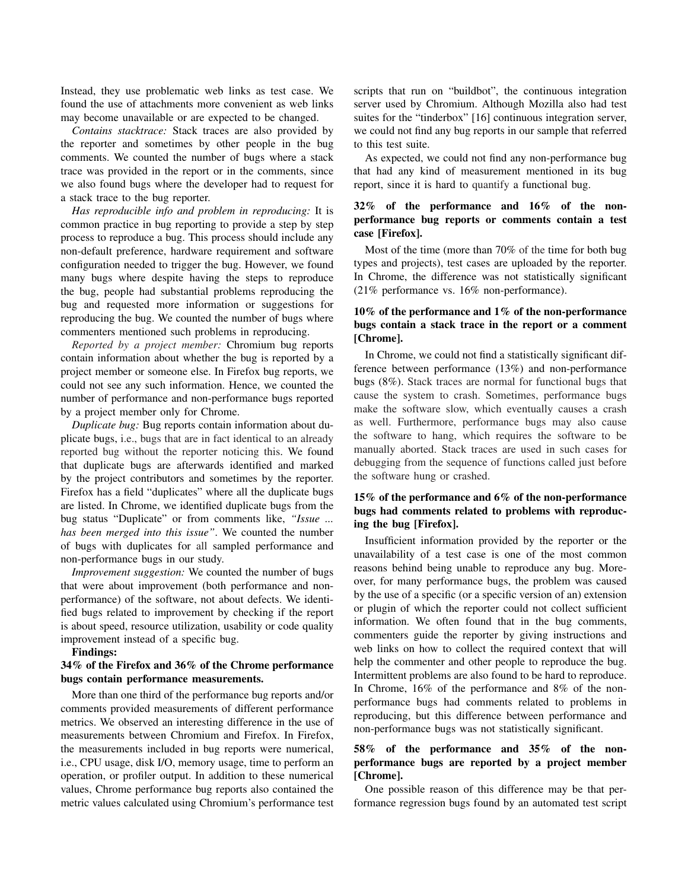Instead, they use problematic web links as test case. We found the use of attachments more convenient as web links may become unavailable or are expected to be changed.

*Contains stacktrace:* Stack traces are also provided by the reporter and sometimes by other people in the bug comments. We counted the number of bugs where a stack trace was provided in the report or in the comments, since we also found bugs where the developer had to request for a stack trace to the bug reporter.

*Has reproducible info and problem in reproducing:* It is common practice in bug reporting to provide a step by step process to reproduce a bug. This process should include any non-default preference, hardware requirement and software configuration needed to trigger the bug. However, we found many bugs where despite having the steps to reproduce the bug, people had substantial problems reproducing the bug and requested more information or suggestions for reproducing the bug. We counted the number of bugs where commenters mentioned such problems in reproducing.

*Reported by a project member:* Chromium bug reports contain information about whether the bug is reported by a project member or someone else. In Firefox bug reports, we could not see any such information. Hence, we counted the number of performance and non-performance bugs reported by a project member only for Chrome.

*Duplicate bug:* Bug reports contain information about duplicate bugs, i.e., bugs that are in fact identical to an already reported bug without the reporter noticing this. We found that duplicate bugs are afterwards identified and marked by the project contributors and sometimes by the reporter. Firefox has a field "duplicates" where all the duplicate bugs are listed. In Chrome, we identified duplicate bugs from the bug status "Duplicate" or from comments like, *"Issue ... has been merged into this issue"*. We counted the number of bugs with duplicates for all sampled performance and non-performance bugs in our study.

*Improvement suggestion:* We counted the number of bugs that were about improvement (both performance and nonperformance) of the software, not about defects. We identified bugs related to improvement by checking if the report is about speed, resource utilization, usability or code quality improvement instead of a specific bug.

#### Findings:

## 34% of the Firefox and 36% of the Chrome performance bugs contain performance measurements.

More than one third of the performance bug reports and/or comments provided measurements of different performance metrics. We observed an interesting difference in the use of measurements between Chromium and Firefox. In Firefox, the measurements included in bug reports were numerical, i.e., CPU usage, disk I/O, memory usage, time to perform an operation, or profiler output. In addition to these numerical values, Chrome performance bug reports also contained the metric values calculated using Chromium's performance test scripts that run on "buildbot", the continuous integration server used by Chromium. Although Mozilla also had test suites for the "tinderbox" [16] continuous integration server, we could not find any bug reports in our sample that referred to this test suite.

As expected, we could not find any non-performance bug that had any kind of measurement mentioned in its bug report, since it is hard to quantify a functional bug.

## 32% of the performance and 16% of the nonperformance bug reports or comments contain a test case [Firefox].

Most of the time (more than 70% of the time for both bug types and projects), test cases are uploaded by the reporter. In Chrome, the difference was not statistically significant (21% performance vs. 16% non-performance).

## 10% of the performance and 1% of the non-performance bugs contain a stack trace in the report or a comment [Chrome].

In Chrome, we could not find a statistically significant difference between performance (13%) and non-performance bugs (8%). Stack traces are normal for functional bugs that cause the system to crash. Sometimes, performance bugs make the software slow, which eventually causes a crash as well. Furthermore, performance bugs may also cause the software to hang, which requires the software to be manually aborted. Stack traces are used in such cases for debugging from the sequence of functions called just before the software hung or crashed.

## 15% of the performance and 6% of the non-performance bugs had comments related to problems with reproducing the bug [Firefox].

Insufficient information provided by the reporter or the unavailability of a test case is one of the most common reasons behind being unable to reproduce any bug. Moreover, for many performance bugs, the problem was caused by the use of a specific (or a specific version of an) extension or plugin of which the reporter could not collect sufficient information. We often found that in the bug comments, commenters guide the reporter by giving instructions and web links on how to collect the required context that will help the commenter and other people to reproduce the bug. Intermittent problems are also found to be hard to reproduce. In Chrome, 16% of the performance and 8% of the nonperformance bugs had comments related to problems in reproducing, but this difference between performance and non-performance bugs was not statistically significant.

## 58% of the performance and 35% of the nonperformance bugs are reported by a project member [Chrome].

One possible reason of this difference may be that performance regression bugs found by an automated test script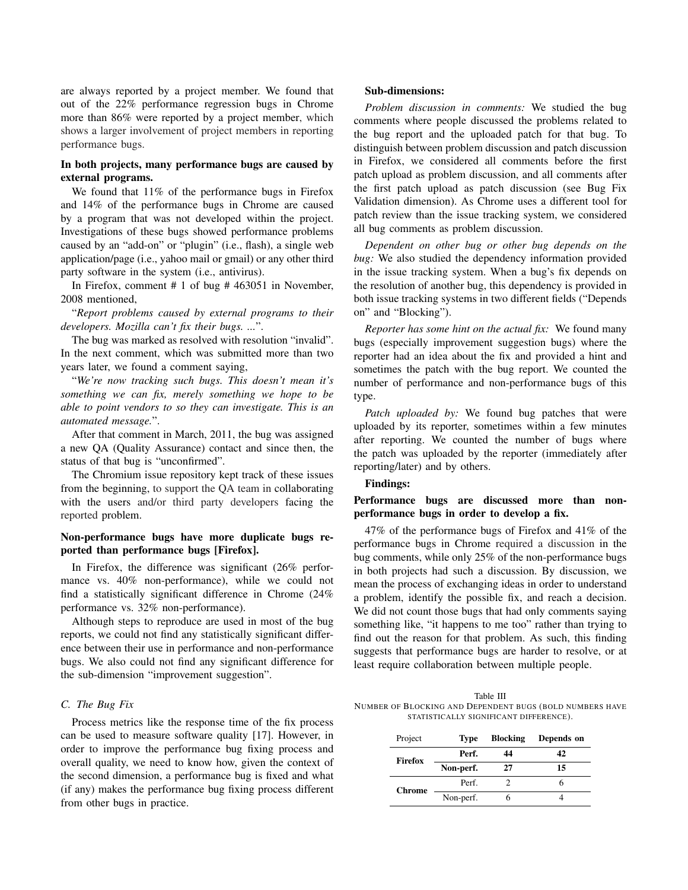are always reported by a project member. We found that out of the 22% performance regression bugs in Chrome more than 86% were reported by a project member, which shows a larger involvement of project members in reporting performance bugs.

## In both projects, many performance bugs are caused by external programs.

We found that 11% of the performance bugs in Firefox and 14% of the performance bugs in Chrome are caused by a program that was not developed within the project. Investigations of these bugs showed performance problems caused by an "add-on" or "plugin" (i.e., flash), a single web application/page (i.e., yahoo mail or gmail) or any other third party software in the system (i.e., antivirus).

In Firefox, comment # 1 of bug # 463051 in November, 2008 mentioned,

"*Report problems caused by external programs to their developers. Mozilla can't fix their bugs. ...*".

The bug was marked as resolved with resolution "invalid". In the next comment, which was submitted more than two years later, we found a comment saying,

"*We're now tracking such bugs. This doesn't mean it's something we can fix, merely something we hope to be able to point vendors to so they can investigate. This is an automated message.*".

After that comment in March, 2011, the bug was assigned a new QA (Quality Assurance) contact and since then, the status of that bug is "unconfirmed".

The Chromium issue repository kept track of these issues from the beginning, to support the QA team in collaborating with the users and/or third party developers facing the reported problem.

## Non-performance bugs have more duplicate bugs reported than performance bugs [Firefox].

In Firefox, the difference was significant (26% performance vs. 40% non-performance), while we could not find a statistically significant difference in Chrome (24% performance vs. 32% non-performance).

Although steps to reproduce are used in most of the bug reports, we could not find any statistically significant difference between their use in performance and non-performance bugs. We also could not find any significant difference for the sub-dimension "improvement suggestion".

### *C. The Bug Fix*

Process metrics like the response time of the fix process can be used to measure software quality [17]. However, in order to improve the performance bug fixing process and overall quality, we need to know how, given the context of the second dimension, a performance bug is fixed and what (if any) makes the performance bug fixing process different from other bugs in practice.

#### Sub-dimensions:

*Problem discussion in comments:* We studied the bug comments where people discussed the problems related to the bug report and the uploaded patch for that bug. To distinguish between problem discussion and patch discussion in Firefox, we considered all comments before the first patch upload as problem discussion, and all comments after the first patch upload as patch discussion (see Bug Fix Validation dimension). As Chrome uses a different tool for patch review than the issue tracking system, we considered all bug comments as problem discussion.

*Dependent on other bug or other bug depends on the bug:* We also studied the dependency information provided in the issue tracking system. When a bug's fix depends on the resolution of another bug, this dependency is provided in both issue tracking systems in two different fields ("Depends on" and "Blocking").

*Reporter has some hint on the actual fix:* We found many bugs (especially improvement suggestion bugs) where the reporter had an idea about the fix and provided a hint and sometimes the patch with the bug report. We counted the number of performance and non-performance bugs of this type.

*Patch uploaded by:* We found bug patches that were uploaded by its reporter, sometimes within a few minutes after reporting. We counted the number of bugs where the patch was uploaded by the reporter (immediately after reporting/later) and by others.

#### Findings:

## Performance bugs are discussed more than nonperformance bugs in order to develop a fix.

47% of the performance bugs of Firefox and 41% of the performance bugs in Chrome required a discussion in the bug comments, while only 25% of the non-performance bugs in both projects had such a discussion. By discussion, we mean the process of exchanging ideas in order to understand a problem, identify the possible fix, and reach a decision. We did not count those bugs that had only comments saying something like, "it happens to me too" rather than trying to find out the reason for that problem. As such, this finding suggests that performance bugs are harder to resolve, or at least require collaboration between multiple people.

Table III NUMBER OF BLOCKING AND DEPENDENT BUGS (BOLD NUMBERS HAVE STATISTICALLY SIGNIFICANT DIFFERENCE).

| Project        | <b>Type</b> | <b>Blocking</b> | Depends on |
|----------------|-------------|-----------------|------------|
| <b>Firefox</b> | Perf.       | 44              | 42         |
|                | Non-perf.   | 27              | 15         |
| Chrome         | Perf.       |                 |            |
|                | Non-perf.   |                 |            |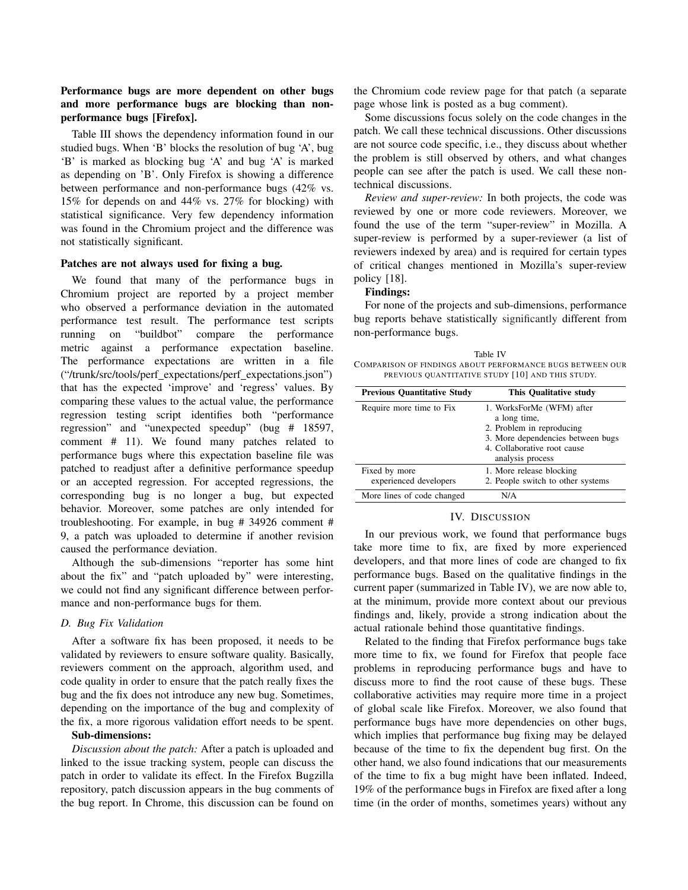## Performance bugs are more dependent on other bugs and more performance bugs are blocking than nonperformance bugs [Firefox].

Table III shows the dependency information found in our studied bugs. When 'B' blocks the resolution of bug 'A', bug 'B' is marked as blocking bug 'A' and bug 'A' is marked as depending on 'B'. Only Firefox is showing a difference between performance and non-performance bugs (42% vs. 15% for depends on and 44% vs. 27% for blocking) with statistical significance. Very few dependency information was found in the Chromium project and the difference was not statistically significant.

#### Patches are not always used for fixing a bug.

We found that many of the performance bugs in Chromium project are reported by a project member who observed a performance deviation in the automated performance test result. The performance test scripts running on "buildbot" compare the performance metric against a performance expectation baseline. The performance expectations are written in a file ("/trunk/src/tools/perf\_expectations/perf\_expectations.json") that has the expected 'improve' and 'regress' values. By comparing these values to the actual value, the performance regression testing script identifies both "performance regression" and "unexpected speedup" (bug # 18597, comment # 11). We found many patches related to performance bugs where this expectation baseline file was patched to readjust after a definitive performance speedup or an accepted regression. For accepted regressions, the corresponding bug is no longer a bug, but expected behavior. Moreover, some patches are only intended for troubleshooting. For example, in bug # 34926 comment # 9, a patch was uploaded to determine if another revision caused the performance deviation.

Although the sub-dimensions "reporter has some hint about the fix" and "patch uploaded by" were interesting, we could not find any significant difference between performance and non-performance bugs for them.

### *D. Bug Fix Validation*

After a software fix has been proposed, it needs to be validated by reviewers to ensure software quality. Basically, reviewers comment on the approach, algorithm used, and code quality in order to ensure that the patch really fixes the bug and the fix does not introduce any new bug. Sometimes, depending on the importance of the bug and complexity of the fix, a more rigorous validation effort needs to be spent.

### Sub-dimensions:

*Discussion about the patch:* After a patch is uploaded and linked to the issue tracking system, people can discuss the patch in order to validate its effect. In the Firefox Bugzilla repository, patch discussion appears in the bug comments of the bug report. In Chrome, this discussion can be found on the Chromium code review page for that patch (a separate page whose link is posted as a bug comment).

Some discussions focus solely on the code changes in the patch. We call these technical discussions. Other discussions are not source code specific, i.e., they discuss about whether the problem is still observed by others, and what changes people can see after the patch is used. We call these nontechnical discussions.

*Review and super-review:* In both projects, the code was reviewed by one or more code reviewers. Moreover, we found the use of the term "super-review" in Mozilla. A super-review is performed by a super-reviewer (a list of reviewers indexed by area) and is required for certain types of critical changes mentioned in Mozilla's super-review policy [18].

## Findings:

For none of the projects and sub-dimensions, performance bug reports behave statistically significantly different from non-performance bugs.

Table IV COMPARISON OF FINDINGS ABOUT PERFORMANCE BUGS BETWEEN OUR PREVIOUS QUANTITATIVE STUDY [10] AND THIS STUDY.

| <b>Previous Quantitative Study</b>      | This Qualitative study                                                                                                                                         |  |
|-----------------------------------------|----------------------------------------------------------------------------------------------------------------------------------------------------------------|--|
| Require more time to Fix                | 1. WorksForMe (WFM) after<br>a long time,<br>2. Problem in reproducing<br>3. More dependencies between bugs<br>4. Collaborative root cause<br>analysis process |  |
| Fixed by more<br>experienced developers | 1. More release blocking<br>2. People switch to other systems                                                                                                  |  |
| More lines of code changed              | N/A                                                                                                                                                            |  |

#### IV. DISCUSSION

In our previous work, we found that performance bugs take more time to fix, are fixed by more experienced developers, and that more lines of code are changed to fix performance bugs. Based on the qualitative findings in the current paper (summarized in Table IV), we are now able to, at the minimum, provide more context about our previous findings and, likely, provide a strong indication about the actual rationale behind those quantitative findings.

Related to the finding that Firefox performance bugs take more time to fix, we found for Firefox that people face problems in reproducing performance bugs and have to discuss more to find the root cause of these bugs. These collaborative activities may require more time in a project of global scale like Firefox. Moreover, we also found that performance bugs have more dependencies on other bugs, which implies that performance bug fixing may be delayed because of the time to fix the dependent bug first. On the other hand, we also found indications that our measurements of the time to fix a bug might have been inflated. Indeed, 19% of the performance bugs in Firefox are fixed after a long time (in the order of months, sometimes years) without any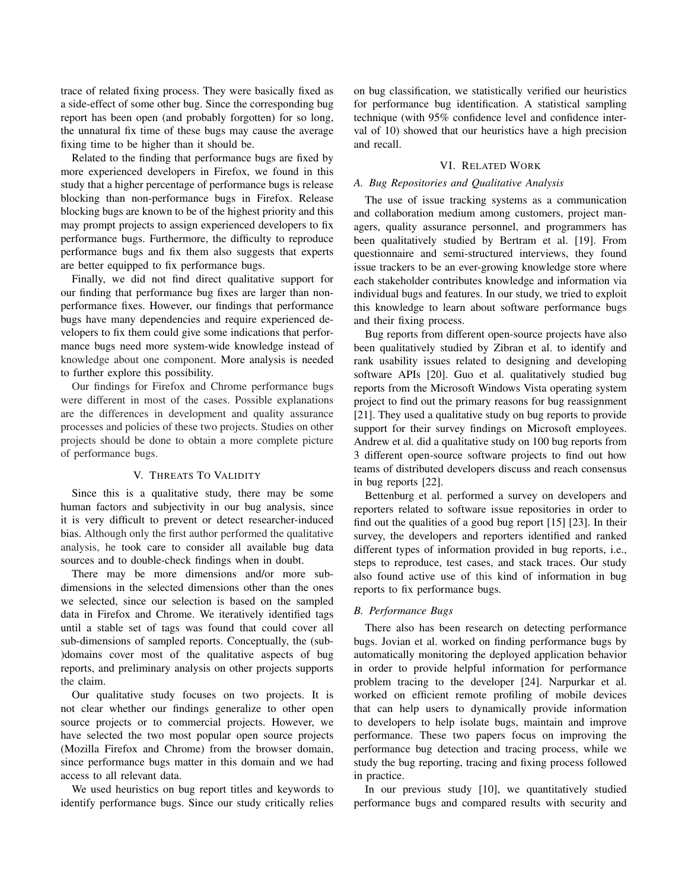trace of related fixing process. They were basically fixed as a side-effect of some other bug. Since the corresponding bug report has been open (and probably forgotten) for so long, the unnatural fix time of these bugs may cause the average fixing time to be higher than it should be.

Related to the finding that performance bugs are fixed by more experienced developers in Firefox, we found in this study that a higher percentage of performance bugs is release blocking than non-performance bugs in Firefox. Release blocking bugs are known to be of the highest priority and this may prompt projects to assign experienced developers to fix performance bugs. Furthermore, the difficulty to reproduce performance bugs and fix them also suggests that experts are better equipped to fix performance bugs.

Finally, we did not find direct qualitative support for our finding that performance bug fixes are larger than nonperformance fixes. However, our findings that performance bugs have many dependencies and require experienced developers to fix them could give some indications that performance bugs need more system-wide knowledge instead of knowledge about one component. More analysis is needed to further explore this possibility.

Our findings for Firefox and Chrome performance bugs were different in most of the cases. Possible explanations are the differences in development and quality assurance processes and policies of these two projects. Studies on other projects should be done to obtain a more complete picture of performance bugs.

## V. THREATS TO VALIDITY

Since this is a qualitative study, there may be some human factors and subjectivity in our bug analysis, since it is very difficult to prevent or detect researcher-induced bias. Although only the first author performed the qualitative analysis, he took care to consider all available bug data sources and to double-check findings when in doubt.

There may be more dimensions and/or more subdimensions in the selected dimensions other than the ones we selected, since our selection is based on the sampled data in Firefox and Chrome. We iteratively identified tags until a stable set of tags was found that could cover all sub-dimensions of sampled reports. Conceptually, the (sub- )domains cover most of the qualitative aspects of bug reports, and preliminary analysis on other projects supports the claim.

Our qualitative study focuses on two projects. It is not clear whether our findings generalize to other open source projects or to commercial projects. However, we have selected the two most popular open source projects (Mozilla Firefox and Chrome) from the browser domain, since performance bugs matter in this domain and we had access to all relevant data.

We used heuristics on bug report titles and keywords to identify performance bugs. Since our study critically relies on bug classification, we statistically verified our heuristics for performance bug identification. A statistical sampling technique (with 95% confidence level and confidence interval of 10) showed that our heuristics have a high precision and recall.

#### VI. RELATED WORK

#### *A. Bug Repositories and Qualitative Analysis*

The use of issue tracking systems as a communication and collaboration medium among customers, project managers, quality assurance personnel, and programmers has been qualitatively studied by Bertram et al. [19]. From questionnaire and semi-structured interviews, they found issue trackers to be an ever-growing knowledge store where each stakeholder contributes knowledge and information via individual bugs and features. In our study, we tried to exploit this knowledge to learn about software performance bugs and their fixing process.

Bug reports from different open-source projects have also been qualitatively studied by Zibran et al. to identify and rank usability issues related to designing and developing software APIs [20]. Guo et al. qualitatively studied bug reports from the Microsoft Windows Vista operating system project to find out the primary reasons for bug reassignment [21]. They used a qualitative study on bug reports to provide support for their survey findings on Microsoft employees. Andrew et al. did a qualitative study on 100 bug reports from 3 different open-source software projects to find out how teams of distributed developers discuss and reach consensus in bug reports [22].

Bettenburg et al. performed a survey on developers and reporters related to software issue repositories in order to find out the qualities of a good bug report [15] [23]. In their survey, the developers and reporters identified and ranked different types of information provided in bug reports, i.e., steps to reproduce, test cases, and stack traces. Our study also found active use of this kind of information in bug reports to fix performance bugs.

#### *B. Performance Bugs*

There also has been research on detecting performance bugs. Jovian et al. worked on finding performance bugs by automatically monitoring the deployed application behavior in order to provide helpful information for performance problem tracing to the developer [24]. Narpurkar et al. worked on efficient remote profiling of mobile devices that can help users to dynamically provide information to developers to help isolate bugs, maintain and improve performance. These two papers focus on improving the performance bug detection and tracing process, while we study the bug reporting, tracing and fixing process followed in practice.

In our previous study [10], we quantitatively studied performance bugs and compared results with security and